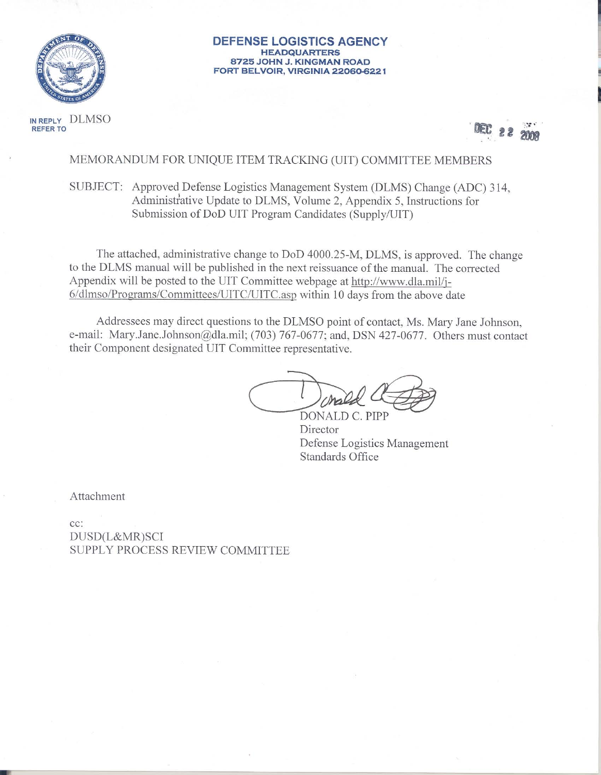

**DEFENSE LOGISTICS AGENCY HEADQUARTERS** 8725 JOHN J. KINGMAN ROAD FORT BELVOIR, VIRGINIA 22060-6221

IN REPLY DLMSO **REFER TO** 



MEMORANDUM FOR UNIQUE ITEM TRACKING (UIT) COMMITTEE MEMBERS

SUBJECT: Approved Defense Logistics Management System (DLMS) Change (ADC) 314, Administrative Update to DLMS, Volume 2, Appendix 5, Instructions for Submission of DoD UIT Program Candidates (Supply/UIT)

The attached, administrative change to DoD 4000.25-M, DLMS, is approved. The change to the DLMS manual will be published in the next reissuance of the manual. The corrected Appendix will be posted to the UIT Committee webpage at http://www.dla.mil/j-6/dlmso/Programs/Committees/UITC/UITC.asp within 10 days from the above date

Addressees may direct questions to the DLMSO point of contact, Ms. Mary Jane Johnson, e-mail: Mary.Jane.Johnson@dla.mil; (703) 767-0677; and, DSN 427-0677. Others must contact their Component designated UIT Committee representative.

DONALD C. PIPP

Director Defense Logistics Management Standards Office

Attachment

 $cc$ : DUSD(L&MR)SCI SUPPLY PROCESS REVIEW COMMITTEE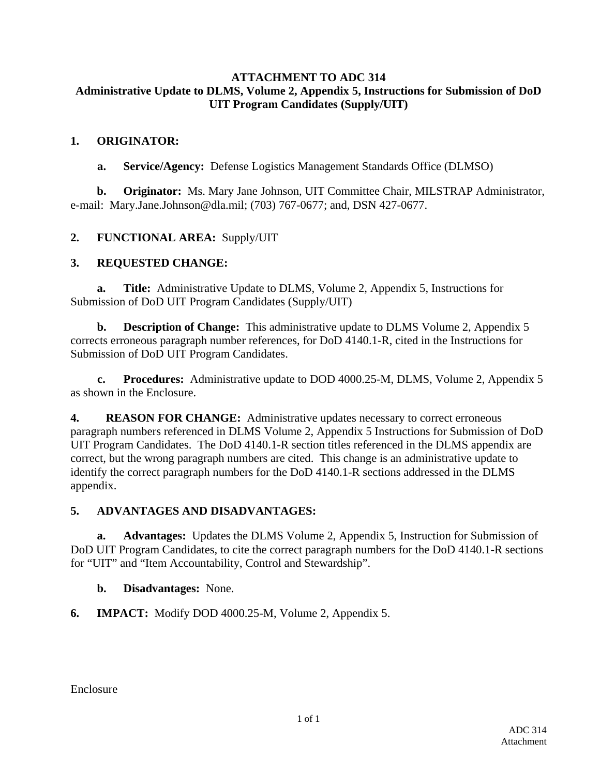### **ATTACHMENT TO ADC 314 Administrative Update to DLMS, Volume 2, Appendix 5, Instructions for Submission of DoD UIT Program Candidates (Supply/UIT)**

### **1. ORIGINATOR:**

**a. Service/Agency:** Defense Logistics Management Standards Office (DLMSO)

**b. Originator:** Ms. Mary Jane Johnson, UIT Committee Chair, MILSTRAP Administrator, e-mail: Mary.Jane.Johnson@dla.mil; (703) 767-0677; and, DSN 427-0677.

## **2. FUNCTIONAL AREA:** Supply/UIT

## **3. REQUESTED CHANGE:**

**a. Title:** Administrative Update to DLMS, Volume 2, Appendix 5, Instructions for Submission of DoD UIT Program Candidates (Supply/UIT)

**b. Description of Change:** This administrative update to DLMS Volume 2, Appendix 5 corrects erroneous paragraph number references, for DoD 4140.1-R, cited in the Instructions for Submission of DoD UIT Program Candidates.

**c. Procedures:** Administrative update to DOD 4000.25-M, DLMS, Volume 2, Appendix 5 as shown in the Enclosure.

**4. REASON FOR CHANGE:** Administrative updates necessary to correct erroneous paragraph numbers referenced in DLMS Volume 2, Appendix 5 Instructions for Submission of DoD UIT Program Candidates. The DoD 4140.1-R section titles referenced in the DLMS appendix are correct, but the wrong paragraph numbers are cited. This change is an administrative update to identify the correct paragraph numbers for the DoD 4140.1-R sections addressed in the DLMS appendix.

## **5. ADVANTAGES AND DISADVANTAGES:**

**a. Advantages:** Updates the DLMS Volume 2, Appendix 5, Instruction for Submission of DoD UIT Program Candidates, to cite the correct paragraph numbers for the DoD 4140.1-R sections for "UIT" and "Item Accountability, Control and Stewardship".

### **b. Disadvantages:** None.

**6. IMPACT:** Modify DOD 4000.25-M, Volume 2, Appendix 5.

Enclosure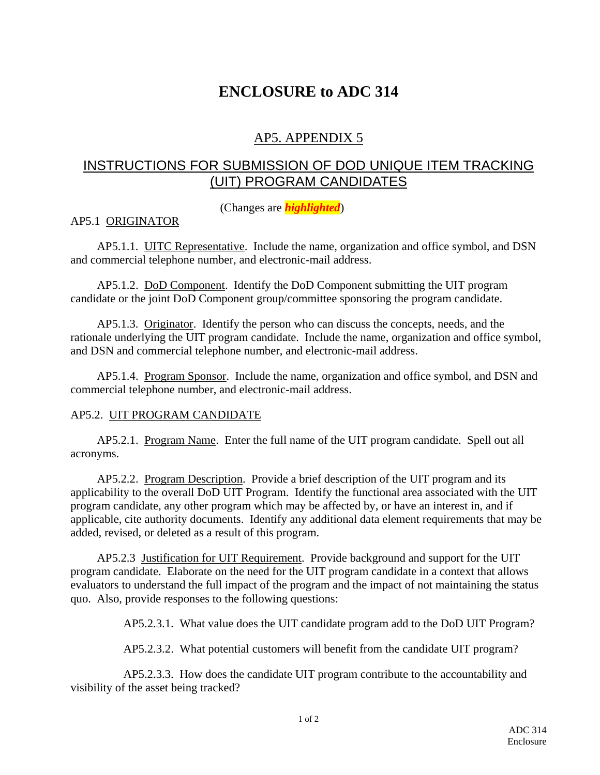# **ENCLOSURE to ADC 314**

# AP5. APPENDIX 5

# INSTRUCTIONS FOR SUBMISSION OF DOD UNIQUE ITEM TRACKING (UIT) PROGRAM CANDIDATES

(Changes are *highlighted*)

### AP5.1 ORIGINATOR

AP5.1.1. UITC Representative. Include the name, organization and office symbol, and DSN and commercial telephone number, and electronic-mail address.

AP5.1.2. DoD Component. Identify the DoD Component submitting the UIT program candidate or the joint DoD Component group/committee sponsoring the program candidate.

 AP5.1.3. Originator. Identify the person who can discuss the concepts, needs, and the rationale underlying the UIT program candidate. Include the name, organization and office symbol, and DSN and commercial telephone number, and electronic-mail address.

 AP5.1.4. Program Sponsor. Include the name, organization and office symbol, and DSN and commercial telephone number, and electronic-mail address.

#### AP5.2. UIT PROGRAM CANDIDATE

 AP5.2.1. Program Name. Enter the full name of the UIT program candidate. Spell out all acronyms.

 AP5.2.2. Program Description. Provide a brief description of the UIT program and its applicability to the overall DoD UIT Program. Identify the functional area associated with the UIT program candidate, any other program which may be affected by, or have an interest in, and if applicable, cite authority documents. Identify any additional data element requirements that may be added, revised, or deleted as a result of this program.

 AP5.2.3 Justification for UIT Requirement. Provide background and support for the UIT program candidate. Elaborate on the need for the UIT program candidate in a context that allows evaluators to understand the full impact of the program and the impact of not maintaining the status quo. Also, provide responses to the following questions:

AP5.2.3.1. What value does the UIT candidate program add to the DoD UIT Program?

AP5.2.3.2. What potential customers will benefit from the candidate UIT program?

 AP5.2.3.3. How does the candidate UIT program contribute to the accountability and visibility of the asset being tracked?